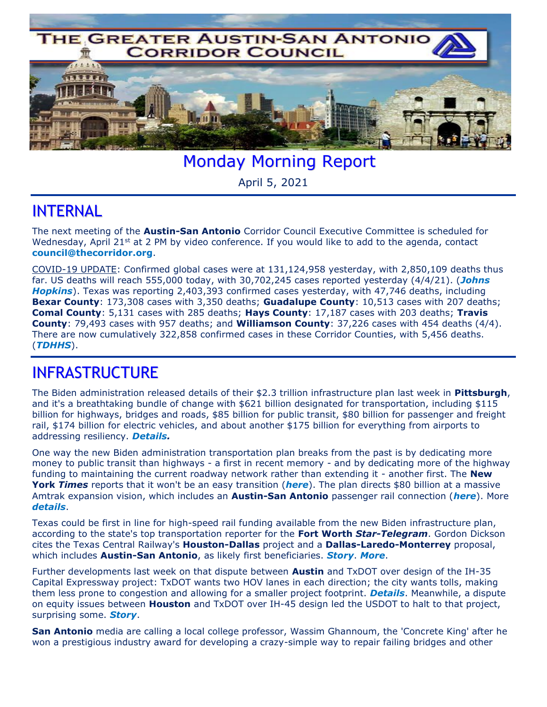

Monday Morning Report

April 5, 2021

## INTERNAL

The next meeting of the **Austin-San Antonio** Corridor Council Executive Committee is scheduled for Wednesday, April 21st at 2 PM by video conference. If you would like to add to the agenda, contact **[council@thecorridor.org](mailto:council@thecorridor.org)**.

COVID-19 UPDATE: Confirmed global cases were at 131,124,958 yesterday, with 2,850,109 deaths thus far. US deaths will reach 555,000 today, with 30,702,245 cases reported yesterday (4/4/21). (*[Johns](https://www.arcgis.com/apps/opsdashboard/index.html#/bda7594740fd40299423467b48e9ecf6)  [Hopkins](https://www.arcgis.com/apps/opsdashboard/index.html#/bda7594740fd40299423467b48e9ecf6)*). Texas was reporting 2,403,393 confirmed cases yesterday, with 47,746 deaths, including **Bexar County**: 173,308 cases with 3,350 deaths; **Guadalupe County**: 10,513 cases with 207 deaths; **Comal County**: 5,131 cases with 285 deaths; **Hays County**: 17,187 cases with 203 deaths; **Travis County**: 79,493 cases with 957 deaths; and **Williamson County**: 37,226 cases with 454 deaths (4/4). There are now cumulatively 322,858 confirmed cases in these Corridor Counties, with 5,456 deaths. (*[TDHHS](https://txdshs.maps.arcgis.com/apps/opsdashboard/index.html#/ed483ecd702b4298ab01e8b9cafc8b83)*).

## INFRASTRUCTURE

The Biden administration released details of their \$2.3 trillion infrastructure plan last week in **Pittsburgh**, and it's a breathtaking bundle of change with \$621 billion designated for transportation, including \$115 billion for highways, bridges and roads, \$85 billion for public transit, \$80 billion for passenger and freight rail, \$174 billion for electric vehicles, and about another \$175 billion for everything from airports to addressing resiliency. *[Details.](https://www.washingtonpost.com/us-policy/2021/03/31/what-is-in-biden-infrastructure-plan/)*

One way the new Biden administration transportation plan breaks from the past is by dedicating more money to public transit than highways - a first in recent memory - and by dedicating more of the highway funding to maintaining the current roadway network rather than extending it - another first. The **New York** *Times* reports that it won't be an easy transition (*[here](https://www.nytimes.com/2021/04/02/climate/biden-public-transit-amtrak.html?action=click&module=Well&pgtype=Homepage§ion=Climate%20and%20Environment)*). The plan directs \$80 billion at a massive Amtrak expansion vision, which includes an **Austin-San Antonio** passenger rail connection (*[here](https://www.trains.com/trn/news-reviews/news-wire/amtrak-unveils-connects-us-map-that-suggests-new-corridors/?fbclid=IwAR3Ckw8o3VA3CdfMOc7EyxcOT2zHxRbinNpYqtBPsHHFY1IEEN9q6sPQZNk)*). More *[details](https://www.usatoday.com/story/travel/news/2021/04/01/biden-infrastructure-plan-amtrak-vows-new-routes-american-jobs-plan/4834427001/)*.

Texas could be first in line for high-speed rail funding available from the new Biden infrastructure plan, according to the state's top transportation reporter for the **Fort Worth** *Star-Telegram*. Gordon Dickson cites the Texas Central Railway's **Houston-Dallas** project and a **Dallas-Laredo-Monterrey** proposal, which includes **Austin-San Antonio**, as likely first beneficiaries. *[Story](https://www.msn.com/en-us/news/us/texas-high-speed-rail-could-be-first-in-line-for-funding-from-biden-congress/ar-BB1f9up4)*. *[More](https://www.dallasnews.com/news/politics/2021/04/02/bidens-new-infrastructure-plan-could-be-north-texas-time-to-shine/)*.

Further developments last week on that dispute between **Austin** and TxDOT over design of the IH-35 Capital Expressway project: TxDOT wants two HOV lanes in each direction; the city wants tolls, making them less prone to congestion and allowing for a smaller project footprint. *[Details](https://www.austinmonitor.com/stories/2021/04/tolls-or-no-tolls-city-and-state-preferences-differ-for-new-i-35-lanes/)*. Meanwhile, a dispute on equity issues between **Houston** and TxDOT over IH-45 design led the USDOT to halt to that project, surprising some. *[Story](https://www.politico.com/news/2021/04/01/dot-texas-highway-equity-478864)*.

**San Antonio** media are calling a local college professor, Wassim Ghannoum, the 'Concrete King' after he won a prestigious industry award for developing a crazy-simple way to repair failing bridges and other